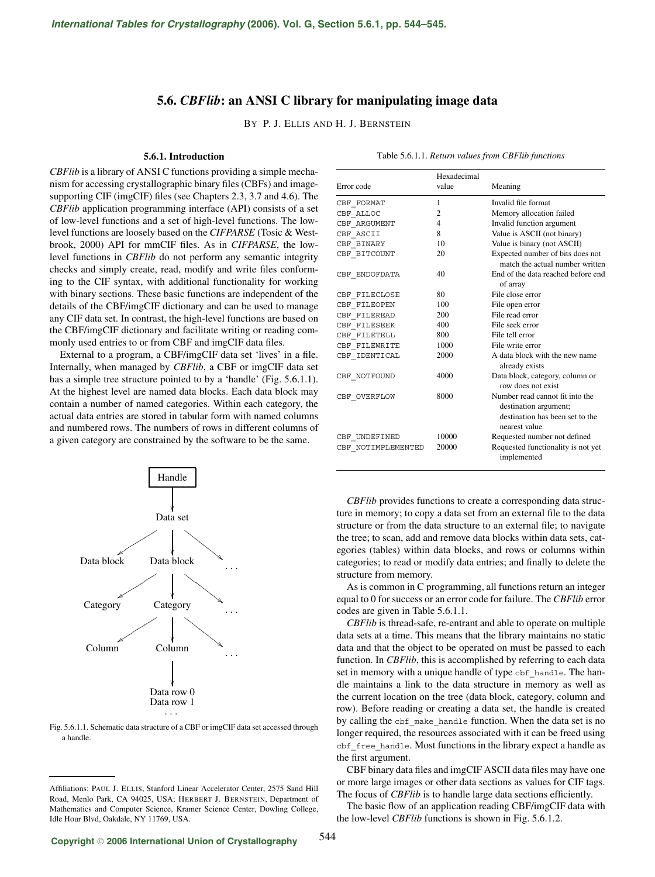## **5.6.** *CBFlib***: an ANSI C library for manipulating image data**

BY P. J. ELLIS AND H. J. BERNSTEIN

## **5.6.1. Introduction**

*CBFlib* is a library of ANSI C functions providing a simple mechanism for accessing crystallographic binary files (CBFs) and imagesupporting CIF (imgCIF) files (see Chapters 2.3, 3.7 and 4.6). The *CBFlib* application programming interface (API) consists of a set of low-level functions and a set of high-level functions. The lowlevel functions are loosely based on the *CIFPARSE* (Tosic & Westbrook, 2000) API for mmCIF files. As in *CIFPARSE*, the lowlevel functions in *CBFlib* do not perform any semantic integrity checks and simply create, read, modify and write files conforming to the CIF syntax, with additional functionality for working with binary sections. These basic functions are independent of the details of the CBF/imgCIF dictionary and can be used to manage any CIF data set. In contrast, the high-level functions are based on the CBF/imgCIF dictionary and facilitate writing or reading commonly used entries to or from CBF and imgCIF data files.

External to a program, a CBF/imgCIF data set 'lives' in a file. Internally, when managed by *CBFlib*, a CBF or imgCIF data set has a simple tree structure pointed to by a 'handle' (Fig. 5.6.1.1). At the highest level are named data blocks. Each data block may contain a number of named categories. Within each category, the actual data entries are stored in tabular form with named columns and numbered rows. The numbers of rows in different columns of a given category are constrained by the software to be the same.



Fig. 5.6.1.1. Schematic data structure of a CBF or imgCIF data set accessed through a handle.

|                    | Hexadecimal |                                                                                                              |
|--------------------|-------------|--------------------------------------------------------------------------------------------------------------|
| Error code         | value       | Meaning                                                                                                      |
| CBF FORMAT         | 1           | Invalid file format                                                                                          |
| CBF ALLOC          | 2           | Memory allocation failed                                                                                     |
| CBF ARGUMENT       | 4           | Invalid function argument                                                                                    |
| CBF ASCII          | 8           | Value is ASCII (not binary)                                                                                  |
| CBF BINARY         | 10          | Value is binary (not ASCII)                                                                                  |
| CBF BITCOUNT       | 20          | Expected number of bits does not<br>match the actual number written                                          |
| CBF ENDOFDATA      | 40          | End of the data reached before end<br>of array                                                               |
| CBF FILECLOSE      | 80          | File close error                                                                                             |
| CBF FILEOPEN       | 100         | File open error                                                                                              |
| CBF FILEREAD       | 200         | File read error                                                                                              |
| CBF FILESEEK       | 400         | File seek error                                                                                              |
| CBF FILETELL       | 800         | File tell error                                                                                              |
| CBF FILEWRITE      | 1000        | File write error                                                                                             |
| CBF IDENTICAL      | 2000        | A data block with the new name<br>already exists                                                             |
| CBF NOTFOUND       | 4000        | Data block, category, column or<br>row does not exist                                                        |
| CBF OVERFLOW       | 8000        | Number read cannot fit into the<br>destination argument;<br>destination has been set to the<br>nearest value |
| CBF UNDEFINED      | 10000       | Requested number not defined                                                                                 |
| CBF NOTIMPLEMENTED | 20000       | Requested functionality is not yet<br>implemented                                                            |

*CBFlib* provides functions to create a corresponding data structure in memory; to copy a data set from an external file to the data structure or from the data structure to an external file; to navigate the tree; to scan, add and remove data blocks within data sets, categories (tables) within data blocks, and rows or columns within categories; to read or modify data entries; and finally to delete the structure from memory.

As is common in C programming, all functions return an integer equal to 0 for success or an error code for failure. The *CBFlib* error codes are given in Table 5.6.1.1.

*CBFlib* is thread-safe, re-entrant and able to operate on multiple data sets at a time. This means that the library maintains no static data and that the object to be operated on must be passed to each function. In *CBFlib*, this is accomplished by referring to each data set in memory with a unique handle of type cbf handle. The handle maintains a link to the data structure in memory as well as the current location on the tree (data block, category, column and row). Before reading or creating a data set, the handle is created by calling the cbf\_make\_handle function. When the data set is no longer required, the resources associated with it can be freed using cbf free handle. Most functions in the library expect a handle as the first argument.

CBF binary data files and imgCIF ASCII data files may have one or more large images or other data sections as values for CIF tags. The focus of *CBFlib* is to handle large data sections efficiently.

The basic flow of an application reading CBF/imgCIF data with the low-level *CBFlib* functions is shown in Fig. 5.6.1.2.

Table 5.6.1.1. *Return values from CBFlib functions*

Affiliations: PAUL J. ELLIS, Stanford Linear Accelerator Center, 2575 Sand Hill Road, Menlo Park, CA 94025, USA; HERBERT J. BERNSTEIN, Department of Mathematics and Computer Science, Kramer Science Center, Dowling College, Idle Hour Blvd, Oakdale, NY 11769, USA.